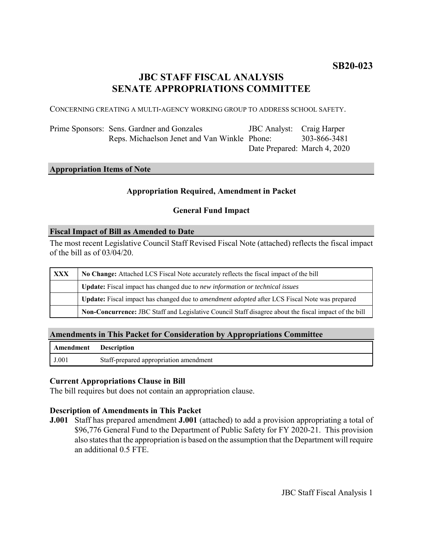# **JBC STAFF FISCAL ANALYSIS SENATE APPROPRIATIONS COMMITTEE**

CONCERNING CREATING A MULTI-AGENCY WORKING GROUP TO ADDRESS SCHOOL SAFETY.

Prime Sponsors: Sens. Gardner and Gonzales Reps. Michaelson Jenet and Van Winkle Phone: JBC Analyst: Craig Harper Date Prepared: March 4, 2020 303-866-3481

## **Appropriation Items of Note**

#### **Appropriation Required, Amendment in Packet**

### **General Fund Impact**

#### **Fiscal Impact of Bill as Amended to Date**

The most recent Legislative Council Staff Revised Fiscal Note (attached) reflects the fiscal impact of the bill as of  $03/04/20$ .

| <b>XXX</b> | No Change: Attached LCS Fiscal Note accurately reflects the fiscal impact of the bill                       |
|------------|-------------------------------------------------------------------------------------------------------------|
|            | Update: Fiscal impact has changed due to new information or technical issues                                |
|            | <b>Update:</b> Fiscal impact has changed due to <i>amendment adopted</i> after LCS Fiscal Note was prepared |
|            | Non-Concurrence: JBC Staff and Legislative Council Staff disagree about the fiscal impact of the bill       |

#### **Amendments in This Packet for Consideration by Appropriations Committee**

| <b>Amendment</b> Description |                                        |
|------------------------------|----------------------------------------|
| J.001                        | Staff-prepared appropriation amendment |

### **Current Appropriations Clause in Bill**

The bill requires but does not contain an appropriation clause.

#### **Description of Amendments in This Packet**

**J.001** Staff has prepared amendment **J.001** (attached) to add a provision appropriating a total of \$96,776 General Fund to the Department of Public Safety for FY 2020-21. This provision also states that the appropriation is based on the assumption that the Department will require an additional 0.5 FTE.